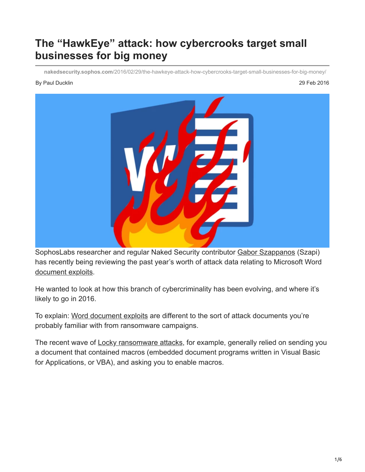# **The "HawkEye" attack: how cybercrooks target small businesses for big money**

**nakedsecurity.sophos.com**[/2016/02/29/the-hawkeye-attack-how-cybercrooks-target-small-businesses-for-big-money/](https://nakedsecurity.sophos.com/2016/02/29/the-hawkeye-attack-how-cybercrooks-target-small-businesses-for-big-money/)

#### By Paul Ducklin 29 Feb 2016



SophosLabs researcher and regular Naked Security contributor [Gabor Szappanos](https://nakedsecurity.sophos.com/author/gaborszappanos/) (Szapi) has recently being reviewing the past year's worth of attack data relating to Microsoft Word [document exploits.](https://www.sophos.com/en-us/medialibrary/PDFs/technical%20papers/sophos-microsoft-word-intruder-revealed.pdf)

He wanted to look at how this branch of cybercriminality has been evolving, and where it's likely to go in 2016.

To explain: [Word document exploits](https://www.sophos.com/en-us/medialibrary/PDFs/technical%20papers/sophos-microsoft-word-intruder-revealed.pdf) are different to the sort of attack documents you're probably familiar with from ransomware campaigns.

The recent wave of **Locky ransomware attacks**, for example, generally relied on sending you a document that contained macros (embedded document programs written in Visual Basic for Applications, or VBA), and asking you to enable macros.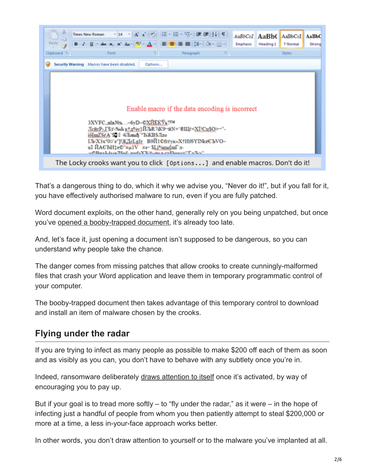

That's a dangerous thing to do, which it why we advise you, "Never do it!", but if you fall for it, you have effectively authorised malware to run, even if you are fully patched.

Word document exploits, on the other hand, generally rely on you being unpatched, but once you've [opened a booby-trapped document,](https://blogs.sophos.com/2015/09/02/microsoft-word-intruder-revealed-new-sophoslabs-research-goes-inside-a-malware-creation-kit/) it's already too late.

And, let's face it, just opening a document isn't supposed to be dangerous, so you can understand why people take the chance.

The danger comes from missing patches that allow crooks to create cunningly-malformed files that crash your Word application and leave them in temporary programmatic control of your computer.

The booby-trapped document then takes advantage of this temporary control to download and install an item of malware chosen by the crooks.

#### **Flying under the radar**

If you are trying to infect as many people as possible to make \$200 off each of them as soon and as visibly as you can, you don't have to behave with any subtlety once you're in.

Indeed, ransomware deliberately [draws attention to itself](https://nakedsecurity.sophos.com/2016/02/17/locky-ransomware-what-you-need-to-know/) once it's activated, by way of encouraging you to pay up.

But if your goal is to tread more softly  $-$  to "fly under the radar," as it were  $-$  in the hope of infecting just a handful of people from whom you then patiently attempt to steal \$200,000 or more at a time, a less in-your-face approach works better.

In other words, you don't draw attention to yourself or to the malware you've implanted at all.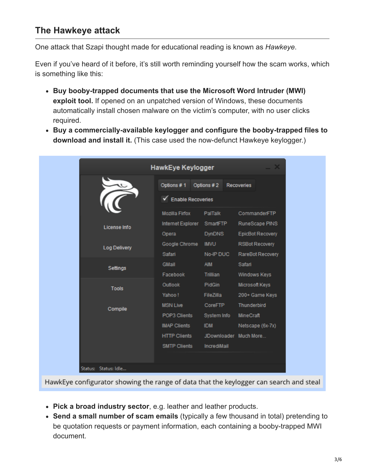### **The Hawkeye attack**

One attack that Szapi thought made for educational reading is known as *Hawkeye*.

Even if you've heard of it before, it's still worth reminding yourself how the scam works, which is something like this:

- **Buy booby-trapped documents that use the Microsoft Word Intruder (MWI) exploit tool.** If opened on an unpatched version of Windows, these documents automatically install chosen malware on the victim's computer, with no user clicks required.
- **Buy a commercially-available keylogger and configure the booby-trapped files to download and install it.** (This case used the now-defunct Hawkeye keylogger.)

|                      | <b>HawkEye Keylogger</b>               |                       |                         |  |  |
|----------------------|----------------------------------------|-----------------------|-------------------------|--|--|
|                      | Options #1                             | Options #2            | <b>Recoveries</b>       |  |  |
|                      | $\sqrt{\phantom{a}}$ Enable Recoveries |                       |                         |  |  |
|                      | Mozilla Finox                          | PalTalk               | CommanderFTP            |  |  |
| License Info         | Internet Explorer                      | <b>SmartFTP</b>       | RuneScape PINS          |  |  |
|                      | Opera                                  | <b>DynDNS</b>         | <b>EpicBot Recovery</b> |  |  |
| <b>Log Delivery</b>  | Google Chrome                          | <b>IMVU</b>           | <b>RSBot Recovery</b>   |  |  |
|                      | Safari                                 | No-IP DUC             | RareBot Recovery        |  |  |
| Settings             | <b>GMail</b>                           | <b>AIM</b>            | Safari                  |  |  |
|                      | Facebook                               | Trillian              | Windows Keys            |  |  |
| <b>Tools</b>         | <b>Outlook</b>                         | PidGin                | Microsoft Keys          |  |  |
|                      | Yahoo!                                 | FileZilla             | 200+ Game Keys          |  |  |
| Compile              | <b>MSN Live</b>                        | CoreFTP               | <b>Thunderbird</b>      |  |  |
|                      | POP3 Clients                           | System Info           | <b>MineCraft</b>        |  |  |
|                      | <b>IMAP Clients</b>                    | <b>IDM</b>            | Netscape (6x-7x)        |  |  |
|                      | <b>HTTP Clients</b>                    | JDownloader Much More |                         |  |  |
|                      | <b>SMTP Clients</b>                    | IncrediMail           |                         |  |  |
|                      |                                        |                       |                         |  |  |
| Status: Status: Idle |                                        |                       |                         |  |  |

HawkEye configurator showing the range of data that the keylogger can search and steal

- **Pick a broad industry sector**, e.g. leather and leather products.
- **Send a small number of scam emails** (typically a few thousand in total) pretending to be quotation requests or payment information, each containing a booby-trapped MWI document.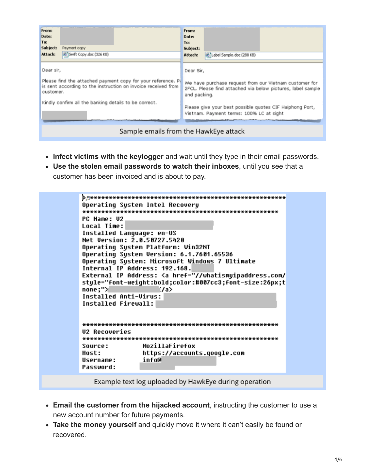| From:<br>Date:<br>To:<br>Subject:<br>Attach:                                                                                                                                                                     | Payment copy<br>Swift Copy.doc (326 KB) | From:<br>Date:<br>To:<br>Subject:<br>Attach:                                                                                                                                                                                                               | Label Sample.doc (288 KB) |  |  |  |
|------------------------------------------------------------------------------------------------------------------------------------------------------------------------------------------------------------------|-----------------------------------------|------------------------------------------------------------------------------------------------------------------------------------------------------------------------------------------------------------------------------------------------------------|---------------------------|--|--|--|
| Dear sir,<br>Please find the attached payment copy for your reference. P.<br>is sent according to the instruction on invoice received from<br>customer.<br>Kindly confirm all the banking details to be correct. |                                         | Dear Sir,<br>We have purchase request from our Vietnam customer for<br>2FCL. Please find attached via below pictures, label sample<br>and packing.<br>Please give your best possible quotes CIF Haiphong Port,<br>Vietnam. Payment terms: 100% LC at sight |                           |  |  |  |
| Sample emails from the HawkEye attack                                                                                                                                                                            |                                         |                                                                                                                                                                                                                                                            |                           |  |  |  |

- **Infect victims with the keylogger** and wait until they type in their email passwords.
- **Use the stolen email passwords to watch their inboxes**, until you see that a
- customer has been invoiced and is about to pay.



Example text log uploaded by HawkEye during operation

- **Email the customer from the hijacked account**, instructing the customer to use a new account number for future payments.
- **Take the money yourself** and quickly move it where it can't easily be found or recovered.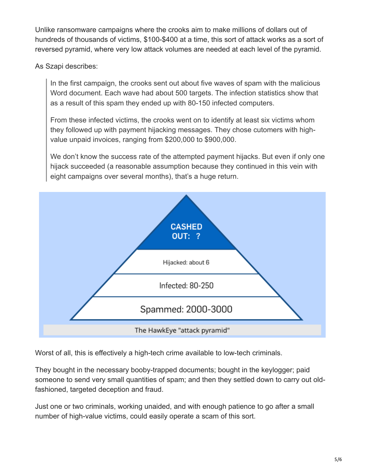Unlike ransomware campaigns where the crooks aim to make millions of dollars out of hundreds of thousands of victims, \$100-\$400 at a time, this sort of attack works as a sort of reversed pyramid, where very low attack volumes are needed at each level of the pyramid.

As Szapi describes:

In the first campaign, the crooks sent out about five waves of spam with the malicious Word document. Each wave had about 500 targets. The infection statistics show that as a result of this spam they ended up with 80-150 infected computers.

From these infected victims, the crooks went on to identify at least six victims whom they followed up with payment hijacking messages. They chose cutomers with highvalue unpaid invoices, ranging from \$200,000 to \$900,000.

We don't know the success rate of the attempted payment hijacks. But even if only one hijack succeeded (a reasonable assumption because they continued in this vein with eight campaigns over several months), that's a huge return.



Worst of all, this is effectively a high-tech crime available to low-tech criminals.

They bought in the necessary booby-trapped documents; bought in the keylogger; paid someone to send very small quantities of spam; and then they settled down to carry out oldfashioned, targeted deception and fraud.

Just one or two criminals, working unaided, and with enough patience to go after a small number of high-value victims, could easily operate a scam of this sort.